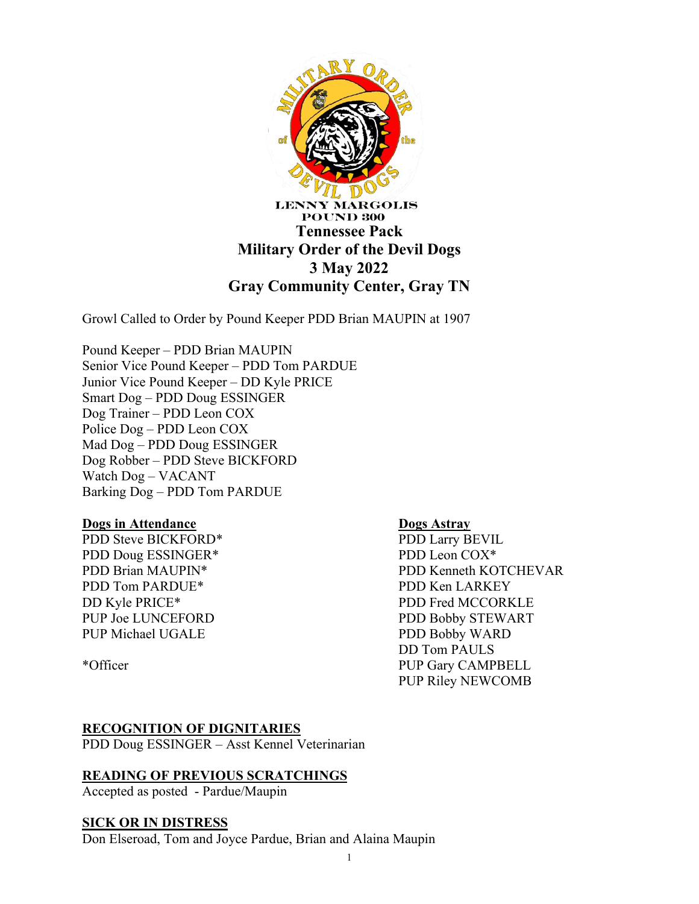

Growl Called to Order by Pound Keeper PDD Brian MAUPIN at 1907

Pound Keeper – PDD Brian MAUPIN Senior Vice Pound Keeper – PDD Tom PARDUE Junior Vice Pound Keeper – DD Kyle PRICE Smart Dog – PDD Doug ESSINGER Dog Trainer – PDD Leon COX Police Dog – PDD Leon COX Mad Dog – PDD Doug ESSINGER Dog Robber – PDD Steve BICKFORD Watch Dog – VACANT Barking Dog – PDD Tom PARDUE

### **Dogs in Attendance**

PDD Steve BICKFORD\* PDD Doug ESSINGER\* PDD Brian MAUPIN\* PDD Tom PARDUE\* DD Kyle PRICE\* PUP Joe LUNCEFORD PUP Michael UGALE

\*Officer

### **Dogs Astray**

PDD Larry BEVIL PDD Leon COX\* PDD Kenneth KOTCHEVAR PDD Ken LARKEY PDD Fred MCCORKLE PDD Bobby STEWART PDD Bobby WARD DD Tom PAULS PUP Gary CAMPBELL PUP Riley NEWCOMB

### **RECOGNITION OF DIGNITARIES**

PDD Doug ESSINGER – Asst Kennel Veterinarian

### **READING OF PREVIOUS SCRATCHINGS**

Accepted as posted - Pardue/Maupin

### **SICK OR IN DISTRESS**

Don Elseroad, Tom and Joyce Pardue, Brian and Alaina Maupin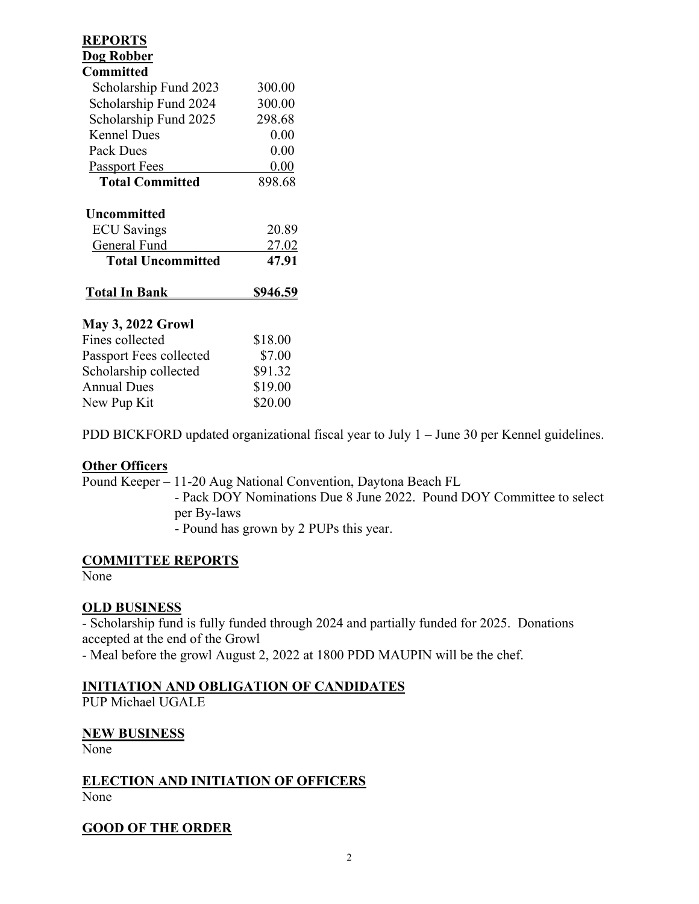| <b>REPORTS</b>           |                 |
|--------------------------|-----------------|
| <b>Dog Robber</b>        |                 |
| <b>Committed</b>         |                 |
| Scholarship Fund 2023    | 300.00          |
| Scholarship Fund 2024    | 300.00          |
| Scholarship Fund 2025    | 298.68          |
| <b>Kennel Dues</b>       | 0.00            |
| <b>Pack Dues</b>         | 0.00            |
| <b>Passport Fees</b>     | 0.00            |
| <b>Total Committed</b>   | 898.68          |
| Uncommitted              |                 |
| <b>ECU</b> Savings       | 20.89           |
| General Fund             | 27.02           |
| <b>Total Uncommitted</b> | 47.91           |
| <b>Total In Bank</b>     | <u>\$946.59</u> |
| <b>May 3, 2022 Growl</b> |                 |
| Fines collected          | \$18.00         |
| Passport Fees collected  | \$7.00          |
| Scholarship collected    | \$91.32         |
| <b>Annual Dues</b>       | \$19.00         |
| New Pup Kit              | \$20.00         |

PDD BICKFORD updated organizational fiscal year to July 1 – June 30 per Kennel guidelines.

### **Other Officers**

Pound Keeper – 11-20 Aug National Convention, Daytona Beach FL - Pack DOY Nominations Due 8 June 2022. Pound DOY Committee to select per By-laws - Pound has grown by 2 PUPs this year.

### **COMMITTEE REPORTS**

None

# **OLD BUSINESS**

- Scholarship fund is fully funded through 2024 and partially funded for 2025. Donations accepted at the end of the Growl

- Meal before the growl August 2, 2022 at 1800 PDD MAUPIN will be the chef.

# **INITIATION AND OBLIGATION OF CANDIDATES**

PUP Michael UGALE

### **NEW BUSINESS**

None

# **ELECTION AND INITIATION OF OFFICERS** None

# **GOOD OF THE ORDER**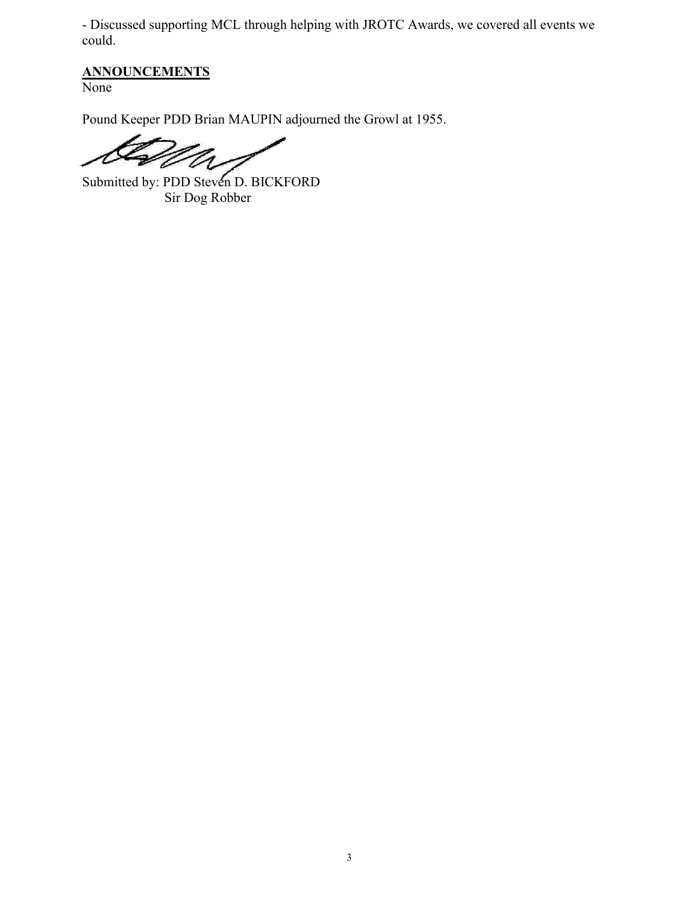- Discussed supporting MCL through helping with JROTC Awards, we covered all events we could.

# **ANNOUNCEMENTS**

None

Pound Keeper PDD Brian MAUPIN adjourned the Growl at 1955.

ヶ

Submitted by: PDD Steven D. BICKFORD Sir Dog Robber